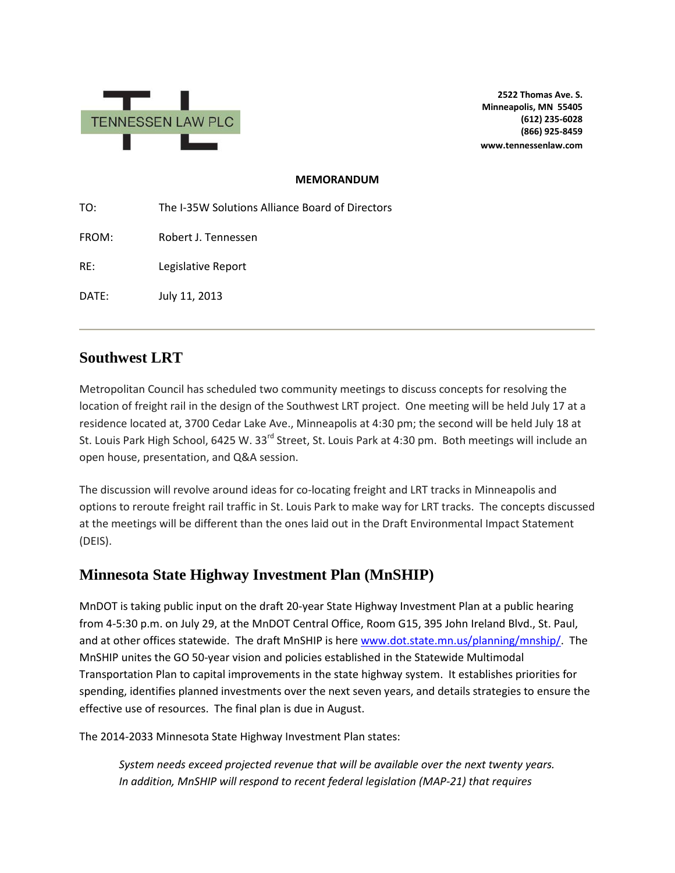

**2522 Thomas Ave. S. Minneapolis, MN 55405 (612) 235-6028 (866) 925-8459 www.tennessenlaw.com**

#### **MEMORANDUM**

TO: The I-35W Solutions Alliance Board of Directors FROM: Robert J. Tennessen RE: Legislative Report DATE: July 11, 2013

### **Southwest LRT**

Metropolitan Council has scheduled two community meetings to discuss concepts for resolving the location of freight rail in the design of the Southwest LRT project. One meeting will be held July 17 at a residence located at, 3700 Cedar Lake Ave., Minneapolis at 4:30 pm; the second will be held July 18 at St. Louis Park High School, 6425 W. 33<sup>rd</sup> Street, St. Louis Park at 4:30 pm. Both meetings will include an open house, presentation, and Q&A session.

The discussion will revolve around ideas for co-locating freight and LRT tracks in Minneapolis and options to reroute freight rail traffic in St. Louis Park to make way for LRT tracks. The concepts discussed at the meetings will be different than the ones laid out in the Draft Environmental Impact Statement (DEIS).

## **Minnesota State Highway Investment Plan (MnSHIP)**

MnDOT is taking public input on the draft 20-year State Highway Investment Plan at a public hearing from 4-5:30 p.m. on July 29, at the MnDOT Central Office, Room G15, 395 John Ireland Blvd., St. Paul, and at other offices statewide. The draft MnSHIP is here [www.dot.state.mn.us/planning/mnship/.](http://www.dot.state.mn.us/planning/mnship/) The MnSHIP unites the GO 50-year vision and policies established in the Statewide Multimodal Transportation Plan to capital improvements in the state highway system. It establishes priorities for spending, identifies planned investments over the next seven years, and details strategies to ensure the effective use of resources. The final plan is due in August.

The 2014-2033 Minnesota State Highway Investment Plan states:

*System needs exceed projected revenue that will be available over the next twenty years. In addition, MnSHIP will respond to recent federal legislation (MAP-21) that requires*